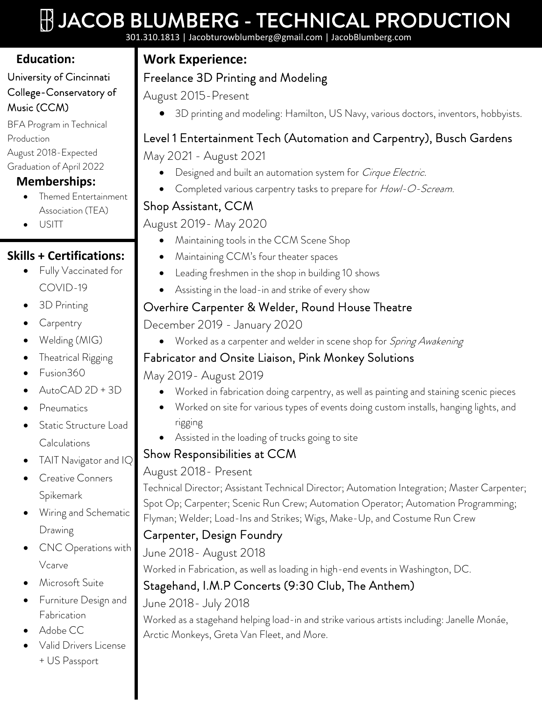# $\mathop{\parallel}\limits \parallel$  JACOB BLUMBERG - TECHNICAL PRODUCTION

301.310.1813 | Jacobturowblumberg@gmail.com | JacobBlumberg.com

# **Education:**

#### University of Cincinnati College-Conservatory of Music (CCM)

BFA Program in Technical Production August 2018-Expected Graduation of April 2022

## **Memberships:**

- Themed Entertainment Association (TEA)
- USITT

#### **Skills + Certifications:**

- Fully Vaccinated for COVID-19
- 3D Printing
- Carpentry
- Welding (MIG)
- Theatrical Rigging
- Fusion360
- AutoCAD 2D + 3D
- Pneumatics
- Static Structure Load Calculations
- TAIT Navigator and IQ
- Creative Conners Spikemark
- Wiring and Schematic Drawing
- CNC Operations with Vcarve
- Microsoft Suite
- Furniture Design and Fabrication
- Adobe CC
- Valid Drivers License + US Passport

# **Work Experience:**

# Freelance 3D Printing and Modeling

August 2015-Present

• 3D printing and modeling: Hamilton, US Navy, various doctors, inventors, hobbyists.

# Level 1 Entertainment Tech (Automation and Carpentry), Busch Gardens

May 2021 - August 2021

- **Designed and built an automation system for Cirque Electric.**
- Completed various carpentry tasks to prepare for Howl-O-Scream.

# Shop Assistant, CCM

#### August 2019- May 2020

- Maintaining tools in the CCM Scene Shop
- Maintaining CCM's four theater spaces
- Leading freshmen in the shop in building 10 shows
- Assisting in the load-in and strike of every show

## Overhire Carpenter & Welder, Round House Theatre

December 2019 - January 2020

• Worked as a carpenter and welder in scene shop for Spring Awakening

# Fabricator and Onsite Liaison, Pink Monkey Solutions

May 2019- August 2019

- Worked in fabrication doing carpentry, as well as painting and staining scenic pieces
- Worked on site for various types of events doing custom installs, hanging lights, and rigging
- Assisted in the loading of trucks going to site

#### Show Responsibilities at CCM

#### August 2018- Present

Technical Director; Assistant Technical Director; Automation Integration; Master Carpenter; Spot Op; Carpenter; Scenic Run Crew; Automation Operator; Automation Programming; Flyman; Welder; Load-Ins and Strikes; Wigs, Make-Up, and Costume Run Crew

# Carpenter, Design Foundry

June 2018- August 2018

Worked in Fabrication, as well as loading in high-end events in Washington, DC.

# Stagehand, I.M.P Concerts (9:30 Club, The Anthem)

#### June 2018- July 2018

Worked as a stagehand helping load-in and strike various artists including: Janelle Monáe, Arctic Monkeys, Greta Van Fleet, and More.